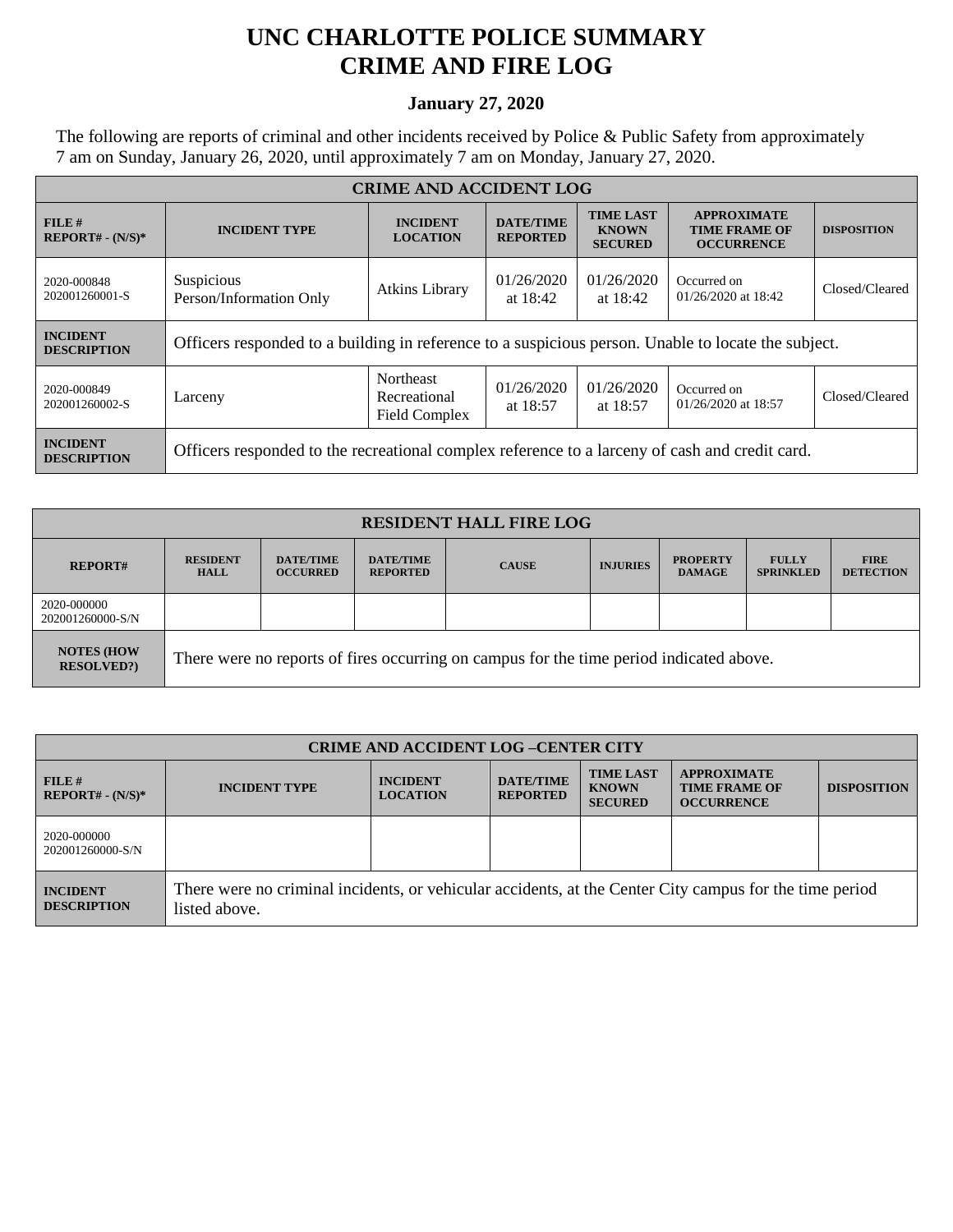## **UNC CHARLOTTE POLICE SUMMARY CRIME AND FIRE LOG**

## **January 27, 2020**

The following are reports of criminal and other incidents received by Police & Public Safety from approximately 7 am on Sunday, January 26, 2020, until approximately 7 am on Monday, January 27, 2020.

| <b>CRIME AND ACCIDENT LOG</b>         |                                                                                                                    |                                            |                                     |                                                    |                                                                 |                    |  |
|---------------------------------------|--------------------------------------------------------------------------------------------------------------------|--------------------------------------------|-------------------------------------|----------------------------------------------------|-----------------------------------------------------------------|--------------------|--|
| FILE#<br>$REPORT# - (N/S)*$           | <b>INCIDENT TYPE</b>                                                                                               | <b>INCIDENT</b><br><b>LOCATION</b>         | <b>DATE/TIME</b><br><b>REPORTED</b> | <b>TIME LAST</b><br><b>KNOWN</b><br><b>SECURED</b> | <b>APPROXIMATE</b><br><b>TIME FRAME OF</b><br><b>OCCURRENCE</b> | <b>DISPOSITION</b> |  |
| 2020-000848<br>202001260001-S         | Suspicious<br>01/26/2020<br>01/26/2020<br><b>Atkins Library</b><br>Person/Information Only<br>at 18:42<br>at 18:42 |                                            | Occurred on<br>01/26/2020 at 18:42  | Closed/Cleared                                     |                                                                 |                    |  |
| <b>INCIDENT</b><br><b>DESCRIPTION</b> | Officers responded to a building in reference to a suspicious person. Unable to locate the subject.                |                                            |                                     |                                                    |                                                                 |                    |  |
| 2020-000849<br>202001260002-S         | Larceny                                                                                                            | Northeast<br>Recreational<br>Field Complex | 01/26/2020<br>at $18:57$            | 01/26/2020<br>at 18:57                             | Occurred on<br>01/26/2020 at 18:57                              | Closed/Cleared     |  |
| <b>INCIDENT</b><br><b>DESCRIPTION</b> | Officers responded to the recreational complex reference to a larceny of cash and credit card.                     |                                            |                                     |                                                    |                                                                 |                    |  |

| <b>RESIDENT HALL FIRE LOG</b>           |                                                                                         |                                     |                                     |              |                 |                                  |                                  |                                 |
|-----------------------------------------|-----------------------------------------------------------------------------------------|-------------------------------------|-------------------------------------|--------------|-----------------|----------------------------------|----------------------------------|---------------------------------|
| <b>REPORT#</b>                          | <b>RESIDENT</b><br><b>HALL</b>                                                          | <b>DATE/TIME</b><br><b>OCCURRED</b> | <b>DATE/TIME</b><br><b>REPORTED</b> | <b>CAUSE</b> | <b>INJURIES</b> | <b>PROPERTY</b><br><b>DAMAGE</b> | <b>FULLY</b><br><b>SPRINKLED</b> | <b>FIRE</b><br><b>DETECTION</b> |
| 2020-000000<br>202001260000-S/N         |                                                                                         |                                     |                                     |              |                 |                                  |                                  |                                 |
| <b>NOTES (HOW)</b><br><b>RESOLVED?)</b> | There were no reports of fires occurring on campus for the time period indicated above. |                                     |                                     |              |                 |                                  |                                  |                                 |

| <b>CRIME AND ACCIDENT LOG-CENTER CITY</b> |                                                                                                                          |                                    |                                     |                                                    |                                                                 |                    |
|-------------------------------------------|--------------------------------------------------------------------------------------------------------------------------|------------------------------------|-------------------------------------|----------------------------------------------------|-----------------------------------------------------------------|--------------------|
| $FILE$ #<br>$REPORT# - (N/S)*$            | <b>INCIDENT TYPE</b>                                                                                                     | <b>INCIDENT</b><br><b>LOCATION</b> | <b>DATE/TIME</b><br><b>REPORTED</b> | <b>TIME LAST</b><br><b>KNOWN</b><br><b>SECURED</b> | <b>APPROXIMATE</b><br><b>TIME FRAME OF</b><br><b>OCCURRENCE</b> | <b>DISPOSITION</b> |
| 2020-000000<br>202001260000-S/N           |                                                                                                                          |                                    |                                     |                                                    |                                                                 |                    |
| <b>INCIDENT</b><br><b>DESCRIPTION</b>     | There were no criminal incidents, or vehicular accidents, at the Center City campus for the time period<br>listed above. |                                    |                                     |                                                    |                                                                 |                    |